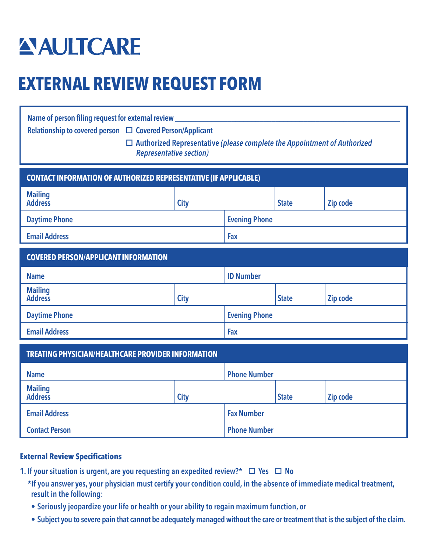# **ANAULTCARE**

# **EXTERNAL REVIEW REQUEST FORM**

| Name of person filing request for external review _________<br>Relationship to covered person □ Covered Person/Applicant<br>$\Box$ Authorized Representative (please complete the Appointment of Authorized<br><b>Representative section)</b><br><b>CONTACT INFORMATION OF AUTHORIZED REPRESENTATIVE (IF APPLICABLE)</b> |             |                      |              |          |
|--------------------------------------------------------------------------------------------------------------------------------------------------------------------------------------------------------------------------------------------------------------------------------------------------------------------------|-------------|----------------------|--------------|----------|
| <b>Mailing</b><br><b>Address</b>                                                                                                                                                                                                                                                                                         | <b>City</b> |                      | <b>State</b> | Zip code |
| <b>Daytime Phone</b>                                                                                                                                                                                                                                                                                                     |             | <b>Evening Phone</b> |              |          |
| <b>Email Address</b>                                                                                                                                                                                                                                                                                                     |             | Fax                  |              |          |
| <b>COVERED PERSON/APPLICANT INFORMATION</b>                                                                                                                                                                                                                                                                              |             |                      |              |          |
| <b>Name</b>                                                                                                                                                                                                                                                                                                              |             | <b>ID Number</b>     |              |          |
| <b>Mailing</b><br><b>Address</b>                                                                                                                                                                                                                                                                                         | <b>City</b> |                      | <b>State</b> | Zip code |
| <b>Daytime Phone</b>                                                                                                                                                                                                                                                                                                     |             | <b>Evening Phone</b> |              |          |
| <b>Email Address</b>                                                                                                                                                                                                                                                                                                     |             | Fax                  |              |          |
| <b>TREATING PHYSICIAN/HEALTHCARE PROVIDER INFORMATION</b>                                                                                                                                                                                                                                                                |             |                      |              |          |
| <b>Name</b>                                                                                                                                                                                                                                                                                                              |             | <b>Phone Number</b>  |              |          |
| <b>Mailing</b><br><b>Address</b>                                                                                                                                                                                                                                                                                         | <b>City</b> |                      | <b>State</b> | Zip code |
| <b>Email Address</b>                                                                                                                                                                                                                                                                                                     |             | <b>Fax Number</b>    |              |          |
| <b>Contact Person</b>                                                                                                                                                                                                                                                                                                    |             | <b>Phone Number</b>  |              |          |

#### **External Review Specifications**

- 1. If your situation is urgent, are you requesting an expedited review?\*  $\Box$  Yes  $\Box$  No
	- \*If you answer yes, your physician must certify your condition could, in the absence of immediate medical treatment, result in the following:
	- Seriously jeopardize your life or health or your ability to regain maximum function, or
	- Subject you to severe pain that cannot be adequately managed without the care or treatment that is the subject of the claim.